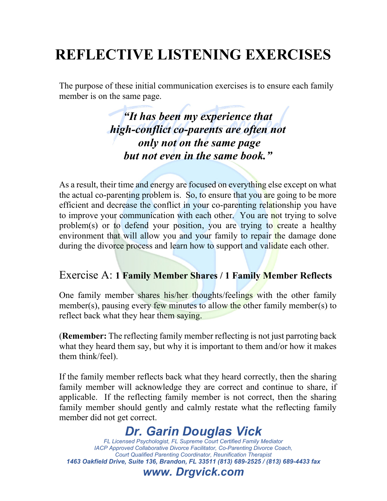# **REFLECTIVE LISTENING EXERCISES**

The purpose of these initial communication exercises is to ensure each family member is on the same page.

> *"It has been my experience that high-conflict co-parents are often not only not on the same page but not even in the same book."*

As a result, their time and energy are focused on everything else except on what the actual co-parenting problem is. So, to ensure that you are going to be more efficient and decrease the conflict in your co-parenting relationship you have to improve your communication with each other. You are not trying to solve problem(s) or to defend your position, you are trying to create a healthy environment that will allow you and your family to repair the damage done during the divorce process and learn how to support and validate each other.

#### Exercise A: **1 Family Member Shares / 1 Family Member Reflects**

One family member shares his/her thoughts/feelings with the other family member(s), pausing every few minutes to allow the other family member(s) to reflect back what they hear them saying.

(**Remember:** The reflecting family member reflecting is not just parroting back what they heard them say, but why it is important to them and/or how it makes them think/feel).

If the family member reflects back what they heard correctly, then the sharing family member will acknowledge they are correct and continue to share, if applicable. If the reflecting family member is not correct, then the sharing family member should gently and calmly restate what the reflecting family member did not get correct.

## *Dr. Garin Douglas Vick*

*FL Licensed Psychologist, FL Supreme Court Certified Family Mediator IACP Approved Collaborative Divorce Facilitator, Co-Parenting Divorce Coach, Court Qualified Parenting Coordinator, Reunification Therapist 1463 Oakfield Drive, Suite 136, Brandon, FL 33511 (813) 689-2525 / (813) 689-4433 fax*

#### *www. Drgvick.com*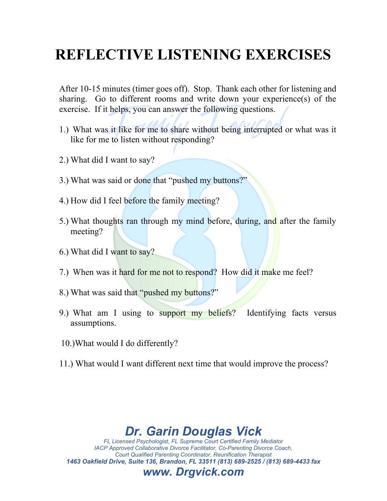# **REFLECTIVE LISTENING EXERCISES**

After 10-15 minutes (timer goes off). Stop. Thank each other for listening and sharing. Go to different rooms and write down your experience(s) of the exercise. If it helps, you can answer the following questions.

- 1.) What was it like for me to share without being interrupted or what was it like for me to listen without responding?
- 2.) What did I want to say?
- 3.) What was said or done that "pushed my buttons?"
- 4.) How did I feel before the family meeting?
- 5.) What thoughts ran through my mind before, during, and after the family meeting?
- 6.) What did I want to say?
- 7.) When was it hard for me not to respond? How did it make me feel?
- 8.) What was said that "pushed my buttons?"
- 9.) What am I using to support my beliefs? Identifying facts versus assumptions.
- 10.)What would I do differently?
- 11.) What would I want different next time that would improve the process?

## *Dr. Garin Douglas Vick*

*FL Licensed Psychologist, FL Supreme Court Certified Family Mediator IACP Approved Collaborative Divorce Facilitator, Co-Parenting Divorce Coach, Court Qualified Parenting Coordinator, Reunification Therapist 1463 Oakfield Drive, Suite 136, Brandon, FL 33511 (813) 689-2525 / (813) 689-4433 fax*

#### *www. Drgvick.com*